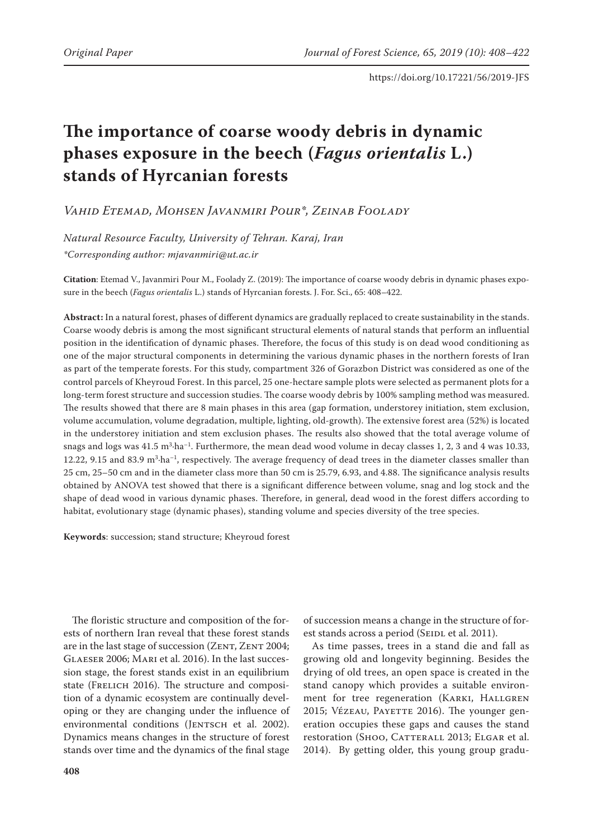# **The importance of coarse woody debris in dynamic phases exposure in the beech (***Fagus orientalis* **L.) stands of Hyrcanian forests**

*Vahid Etemad, Mohsen Javanmiri Pour\*, Zeinab Foolady*

*Natural Resource Faculty, University of Tehran. Karaj, Iran \*Corresponding author: mjavanmiri@ut.ac.ir* 

**Citation**: Etemad V., Javanmiri Pour M., Foolady Z. (2019): The importance of coarse woody debris in dynamic phases exposure in the beech (*Fagus orientalis* L.) stands of Hyrcanian forests. J. For. Sci., 65: 408–422.

**Abstract:** In a natural forest, phases of different dynamics are gradually replaced to create sustainability in the stands. Coarse woody debris is among the most significant structural elements of natural stands that perform an influential position in the identification of dynamic phases. Therefore, the focus of this study is on dead wood conditioning as one of the major structural components in determining the various dynamic phases in the northern forests of Iran as part of the temperate forests. For this study, compartment 326 of Gorazbon District was considered as one of the control parcels of Kheyroud Forest. In this parcel, 25 one-hectare sample plots were selected as permanent plots for a long-term forest structure and succession studies. The coarse woody debris by 100% sampling method was measured. The results showed that there are 8 main phases in this area (gap formation, understorey initiation, stem exclusion, volume accumulation, volume degradation, multiple, lighting, old-growth). The extensive forest area (52%) is located in the understorey initiation and stem exclusion phases. The results also showed that the total average volume of snags and logs was 41.5 m<sup>3</sup>·ha<sup>-1</sup>. Furthermore, the mean dead wood volume in decay classes 1, 2, 3 and 4 was 10.33, 12.22, 9.15 and 83.9  $m^3$  ha<sup>-1</sup>, respectively. The average frequency of dead trees in the diameter classes smaller than 25 cm, 25–50 cm and in the diameter class more than 50 cm is 25.79, 6.93, and 4.88. The significance analysis results obtained by ANOVA test showed that there is a significant difference between volume, snag and log stock and the shape of dead wood in various dynamic phases. Therefore, in general, dead wood in the forest differs according to habitat, evolutionary stage (dynamic phases), standing volume and species diversity of the tree species.

**Keywords**: succession; stand structure; Kheyroud forest

The floristic structure and composition of the forests of northern Iran reveal that these forest stands are in the last stage of succession (ZENT, ZENT 2004; Glaeser 2006; Mari et al. 2016). In the last succession stage, the forest stands exist in an equilibrium state (FRELICH 2016). The structure and composition of a dynamic ecosystem are continually developing or they are changing under the influence of environmental conditions (JENTSCH et al. 2002). Dynamics means changes in the structure of forest stands over time and the dynamics of the final stage

of succession means a change in the structure of forest stands across a period (SEIDL et al. 2011).

As time passes, trees in a stand die and fall as growing old and longevity beginning. Besides the drying of old trees, an open space is created in the stand canopy which provides a suitable environment for tree regeneration (KARKI, HALLGREN 2015; Vézeau, Payette 2016). The younger generation occupies these gaps and causes the stand restoration (SHOO, CATTERALL 2013; ELGAR et al. 2014). By getting older, this young group gradu-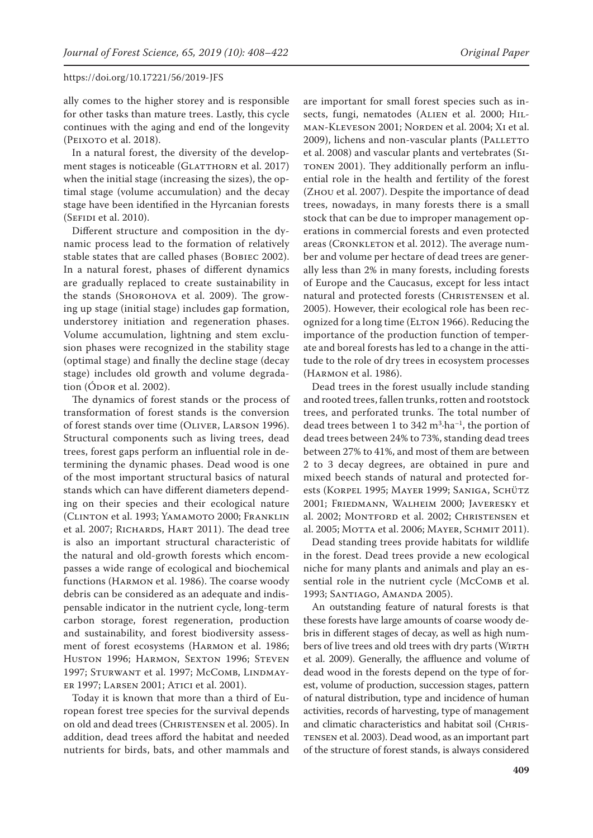ally comes to the higher storey and is responsible for other tasks than mature trees. Lastly, this cycle continues with the aging and end of the longevity (PEIXOTO et al. 2018).

In a natural forest, the diversity of the development stages is noticeable (GLATTHORN et al. 2017) when the initial stage (increasing the sizes), the optimal stage (volume accumulation) and the decay stage have been identified in the Hyrcanian forests (Sefidi et al. 2010).

Different structure and composition in the dynamic process lead to the formation of relatively stable states that are called phases (Bobiec 2002). In a natural forest, phases of different dynamics are gradually replaced to create sustainability in the stands (Sноконоva et al. 2009). The growing up stage (initial stage) includes gap formation, understorey initiation and regeneration phases. Volume accumulation, lightning and stem exclusion phases were recognized in the stability stage (optimal stage) and finally the decline stage (decay stage) includes old growth and volume degradation ( $\acute{o}$ DOR et al. 2002).

The dynamics of forest stands or the process of transformation of forest stands is the conversion of forest stands over time (Oliver, Larson 1996). Structural components such as living trees, dead trees, forest gaps perform an influential role in determining the dynamic phases. Dead wood is one of the most important structural basics of natural stands which can have different diameters depending on their species and their ecological nature (Clinton et al. 1993; Yamamoto 2000; Franklin et al. 2007; RICHARDS, HART 2011). The dead tree is also an important structural characteristic of the natural and old-growth forests which encompasses a wide range of ecological and biochemical functions (Harmon et al. 1986). The coarse woody debris can be considered as an adequate and indispensable indicator in the nutrient cycle, long-term carbon storage, forest regeneration, production and sustainability, and forest biodiversity assessment of forest ecosystems (Harmon et al. 1986; HUSTON 1996; HARMON, SEXTON 1996; STEVEN 1997; STURWANT et al. 1997; McCOMB, LINDMAYer 1997; Larsen 2001; Atici et al. 2001).

Today it is known that more than a third of European forest tree species for the survival depends on old and dead trees (CHRISTENSEN et al. 2005). In addition, dead trees afford the habitat and needed nutrients for birds, bats, and other mammals and

are important for small forest species such as insects, fungi, nematodes (Alien et al. 2000; Hilman-Kleveson 2001; Norden et al. 2004; Xi et al. 2009), lichens and non-vascular plants (PALLETTO et al. 2008) and vascular plants and vertebrates (Sitonen 2001). They additionally perform an influential role in the health and fertility of the forest (Zhou et al. 2007). Despite the importance of dead trees, nowadays, in many forests there is a small stock that can be due to improper management operations in commercial forests and even protected areas (CRONKLETON et al. 2012). The average number and volume per hectare of dead trees are generally less than 2% in many forests, including forests of Europe and the Caucasus, except for less intact natural and protected forests (CHRISTENSEN et al. 2005). However, their ecological role has been recognized for a long time (ELTON 1966). Reducing the importance of the production function of temperate and boreal forests has led to a change in the attitude to the role of dry trees in ecosystem processes (Harmon et al. 1986).

Dead trees in the forest usually include standing and rooted trees, fallen trunks, rotten and rootstock trees, and perforated trunks. The total number of dead trees between 1 to  $342 \text{ m}^3 \cdot \text{ha}^{-1}$ , the portion of dead trees between 24% to 73%, standing dead trees between 27% to 41%, and most of them are between 2 to 3 decay degrees, are obtained in pure and mixed beech stands of natural and protected forests (Korpel 1995; Mayer 1999; Saniga, Schütz 2001; Friedmann, Walheim 2000; Javeresky et al. 2002; Montford et al. 2002; Christensen et al. 2005; MOTTA et al. 2006; MAYER, SCHMIT 2011).

Dead standing trees provide habitats for wildlife in the forest. Dead trees provide a new ecological niche for many plants and animals and play an essential role in the nutrient cycle (McComb et al. 1993; Santiago, Amanda 2005).

An outstanding feature of natural forests is that these forests have large amounts of coarse woody debris in different stages of decay, as well as high numbers of live trees and old trees with dry parts (WIRTH et al. 2009). Generally, the affluence and volume of dead wood in the forests depend on the type of forest, volume of production, succession stages, pattern of natural distribution, type and incidence of human activities, records of harvesting, type of management and climatic characteristics and habitat soil (CHRIStensen et al. 2003). Dead wood, as an important part of the structure of forest stands, is always considered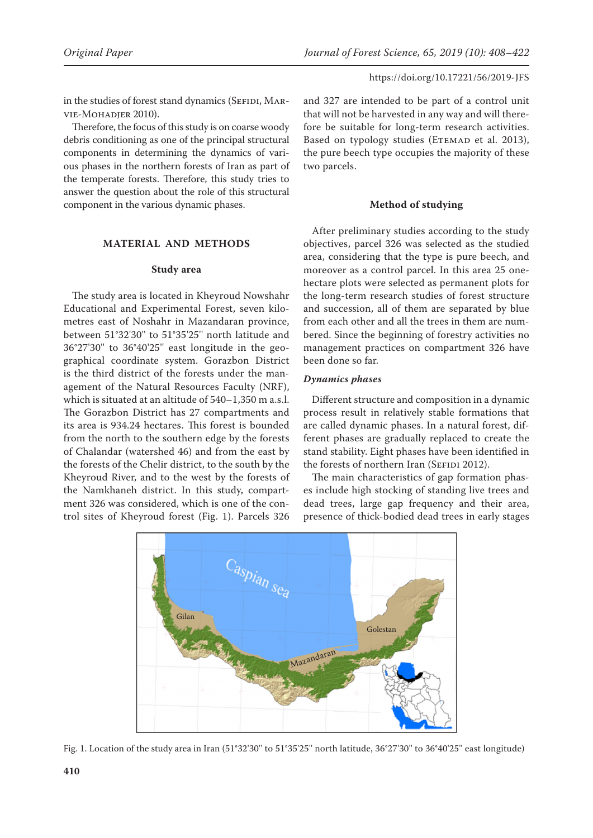in the studies of forest stand dynamics (SEFIDI, MARvie-Mohadjer 2010).

Therefore, the focus of this study is on coarse woody debris conditioning as one of the principal structural components in determining the dynamics of various phases in the northern forests of Iran as part of the temperate forests. Therefore, this study tries to answer the question about the role of this structural component in the various dynamic phases.

# **Material and methods**

## **Study area**

The study area is located in Kheyroud Nowshahr Educational and Experimental Forest, seven kilometres east of Noshahr in Mazandaran province, between 51°32'30'' to 51°35'25'' north latitude and 36°27'30'' to 36°40'25'' east longitude in the geographical coordinate system. Gorazbon District is the third district of the forests under the management of the Natural Resources Faculty (NRF), which is situated at an altitude of 540–1,350 m a.s.l. The Gorazbon District has 27 compartments and its area is 934.24 hectares. This forest is bounded from the north to the southern edge by the forests of Chalandar (watershed 46) and from the east by the forests of the Chelir district, to the south by the Kheyroud River, and to the west by the forests of the Namkhaneh district. In this study, compartment 326 was considered, which is one of the control sites of Kheyroud forest (Fig. 1). Parcels 326

and 327 are intended to be part of a control unit that will not be harvested in any way and will therefore be suitable for long-term research activities. Based on typology studies (ETEMAD et al. 2013), the pure beech type occupies the majority of these two parcels.

# **Method of studying**

After preliminary studies according to the study objectives, parcel 326 was selected as the studied area, considering that the type is pure beech, and moreover as a control parcel. In this area 25 onehectare plots were selected as permanent plots for the long-term research studies of forest structure and succession, all of them are separated by blue from each other and all the trees in them are numbered. Since the beginning of forestry activities no management practices on compartment 326 have been done so far.

# *Dynamics phases*

Different structure and composition in a dynamic process result in relatively stable formations that are called dynamic phases. In a natural forest, different phases are gradually replaced to create the stand stability. Eight phases have been identified in the forests of northern Iran (SEFIDI 2012).

The main characteristics of gap formation phases include high stocking of standing live trees and dead trees, large gap frequency and their area, presence of thick-bodied dead trees in early stages



Fig. 1. Location of the study area in Iran (51°32'30'' to 51°35'25'' north latitude, 36°27'30'' to 36°40'25'' east longitude)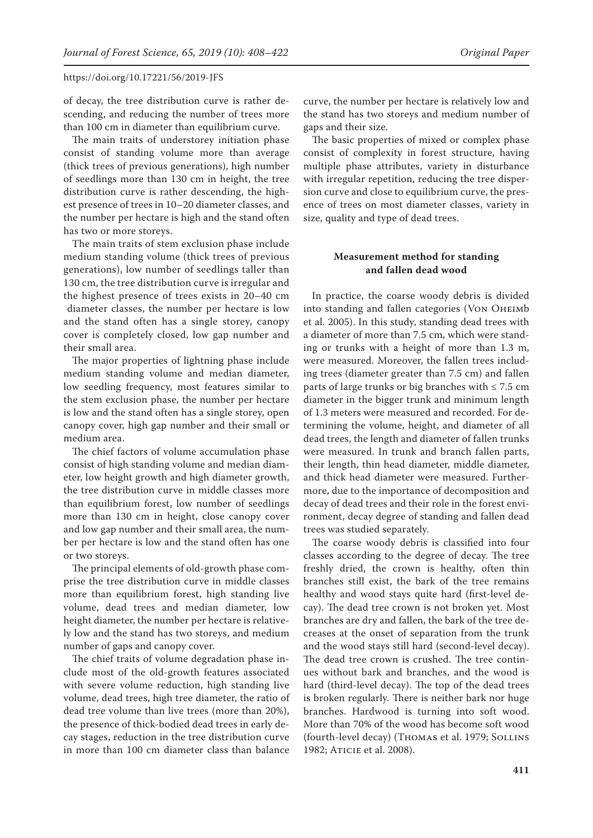of decay, the tree distribution curve is rather descending, and reducing the number of trees more than 100 cm in diameter than equilibrium curve.

The main traits of understorey initiation phase consist of standing volume more than average (thick trees of previous generations), high number of seedlings more than 130 cm in height, the tree distribution curve is rather descending, the highest presence of trees in 10–20 diameter classes, and the number per hectare is high and the stand often has two or more storeys.

The main traits of stem exclusion phase include medium standing volume (thick trees of previous generations), low number of seedlings taller than 130 cm, the tree distribution curve is irregular and the highest presence of trees exists in 20–40 cm diameter classes, the number per hectare is low and the stand often has a single storey, canopy cover is completely closed, low gap number and their small area.

The major properties of lightning phase include medium standing volume and median diameter, low seedling frequency, most features similar to the stem exclusion phase, the number per hectare is low and the stand often has a single storey, open canopy cover, high gap number and their small or medium area.

The chief factors of volume accumulation phase consist of high standing volume and median diameter, low height growth and high diameter growth, the tree distribution curve in middle classes more than equilibrium forest, low number of seedlings more than 130 cm in height, close canopy cover and low gap number and their small area, the number per hectare is low and the stand often has one or two storeys.

The principal elements of old-growth phase comprise the tree distribution curve in middle classes more than equilibrium forest, high standing live volume, dead trees and median diameter, low height diameter, the number per hectare is relatively low and the stand has two storeys, and medium number of gaps and canopy cover.

The chief traits of volume degradation phase include most of the old-growth features associated with severe volume reduction, high standing live volume, dead trees, high tree diameter, the ratio of dead tree volume than live trees (more than 20%), the presence of thick-bodied dead trees in early decay stages, reduction in the tree distribution curve in more than 100 cm diameter class than balance curve, the number per hectare is relatively low and the stand has two storeys and medium number of gaps and their size.

The basic properties of mixed or complex phase consist of complexity in forest structure, having multiple phase attributes, variety in disturbance with irregular repetition, reducing the tree dispersion curve and close to equilibrium curve, the presence of trees on most diameter classes, variety in size, quality and type of dead trees.

# **Measurement method for standing and fallen dead wood**

In practice, the coarse woody debris is divided into standing and fallen categories (Von Oheimb et al. 2005). In this study, standing dead trees with a diameter of more than 7.5 cm, which were standing or trunks with a height of more than 1.3 m, were measured. Moreover, the fallen trees including trees (diameter greater than 7.5 cm) and fallen parts of large trunks or big branches with  $\leq 7.5$  cm diameter in the bigger trunk and minimum length of 1.3 meters were measured and recorded. For determining the volume, height, and diameter of all dead trees, the length and diameter of fallen trunks were measured. In trunk and branch fallen parts, their length, thin head diameter, middle diameter, and thick head diameter were measured. Furthermore, due to the importance of decomposition and decay of dead trees and their role in the forest environment, decay degree of standing and fallen dead trees was studied separately.

The coarse woody debris is classified into four classes according to the degree of decay. The tree freshly dried, the crown is healthy, often thin branches still exist, the bark of the tree remains healthy and wood stays quite hard (first-level decay). The dead tree crown is not broken yet. Most branches are dry and fallen, the bark of the tree decreases at the onset of separation from the trunk and the wood stays still hard (second-level decay). The dead tree crown is crushed. The tree continues without bark and branches, and the wood is hard (third-level decay). The top of the dead trees is broken regularly. There is neither bark nor huge branches. Hardwood is turning into soft wood. More than 70% of the wood has become soft wood (fourth-level decay) (Thomas et al. 1979; Sollins 1982; ATICIE et al. 2008).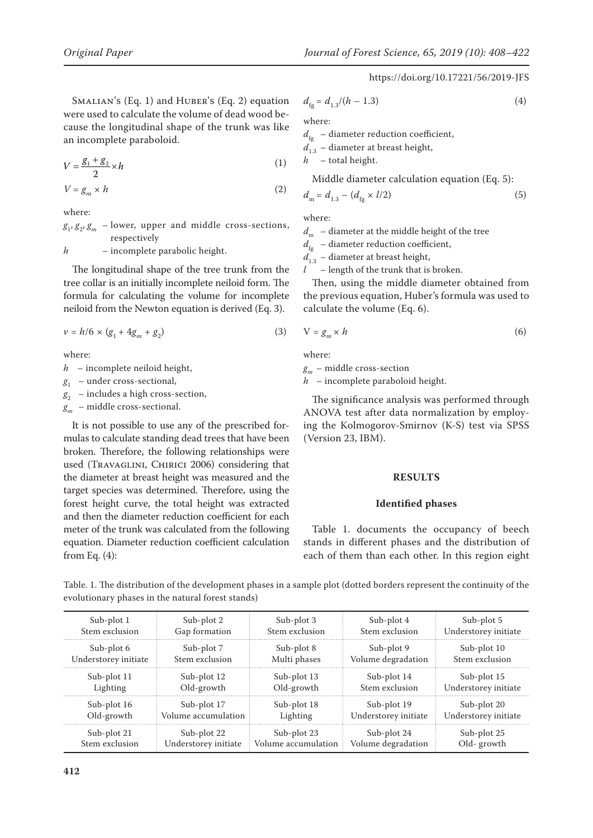Smalian's (Eq. 1) and Huber's (Eq. 2) equation were used to calculate the volume of dead wood because the longitudinal shape of the trunk was like an incomplete paraboloid.

$$
V = \frac{g_1 + g_2}{2} \times h \tag{1}
$$

$$
V = g_m \times h \tag{2}
$$

where:

 $g_1, g_2, g_m$  – lower, upper and middle cross-sections, respectively

*h* – incomplete parabolic height.

The longitudinal shape of the tree trunk from the tree collar is an initially incomplete neiloid form. The formula for calculating the volume for incomplete neiloid from the Newton equation is derived (Eq. 3).

 $v = h/6 \times (g_1 + 4g_m + g_2)$  (3)

where:

*h* – incomplete neiloid height,

 $g<sub>1</sub>$  – under cross-sectional,

 $g<sub>2</sub>$  – includes a high cross-section,

*gm* – middle cross-sectional.

It is not possible to use any of the prescribed formulas to calculate standing dead trees that have been broken. Therefore, the following relationships were used (Travaglini, Chirici 2006) considering that the diameter at breast height was measured and the target species was determined. Therefore, using the forest height curve, the total height was extracted and then the diameter reduction coefficient for each meter of the trunk was calculated from the following equation. Diameter reduction coefficient calculation from Eq. (4):

$$
d_{\rm fg} = d_{1.3}/(h - 1.3) \tag{4}
$$

where:

 $d_{\rm fg}$  – diameter reduction coefficient,

 $d_{1,3}$  – diameter at breast height,

*h* – total height.

Middle diameter calculation equation (Eq. 5):

$$
d_{\rm m} = d_{1.3} - (d_{\rm fg} \times l/2) \tag{5}
$$

where:

 $d_{\text{m}}$  – diameter at the middle height of the tree

 $d_{\text{fg}}$  – diameter reduction coefficient,

 $d_{13}$  – diameter at breast height,

*l* – length of the trunk that is broken.

Then, using the middle diameter obtained from the previous equation, Huber's formula was used to calculate the volume (Eq. 6).

$$
V = g_m \times h \tag{6}
$$

where:

*gm* – middle cross-section

*h* – incomplete paraboloid height.

The significance analysis was performed through ANOVA test after data normalization by employing the Kolmogorov-Smirnov (K-S) test via SPSS (Version 23, IBM).

#### **Results**

#### **Identified phases**

Table 1. documents the occupancy of beech stands in different phases and the distribution of each of them than each other. In this region eight

| Sub-plot 1           | Sub-plot 2           | Sub-plot 3          | Sub-plot 4           | Sub-plot 5           |
|----------------------|----------------------|---------------------|----------------------|----------------------|
| Stem exclusion       | Gap formation        | Stem exclusion      | Stem exclusion       | Understorey initiate |
| Sub-plot 6           | Sub-plot 7           | Sub-plot 8          | Sub-plot 9           | Sub-plot 10          |
| Understorey initiate | Stem exclusion       | Multi phases        | Volume degradation   | Stem exclusion       |
| Sub-plot 11          | Sub-plot 12          | Sub-plot 13         | Sub-plot 14          | Sub-plot 15          |
| Lighting             | Old-growth           | Old-growth          | Stem exclusion       | Understorey initiate |
| Sub-plot 16          | Sub-plot 17          | Sub-plot 18         | Sub-plot 19          | Sub-plot 20          |
| Old-growth           | Volume accumulation  | Lighting            | Understorey initiate | Understorey initiate |
| Sub-plot 21          | Sub-plot 22          | Sub-plot 23         | Sub-plot 24          | Sub-plot 25          |
| Stem exclusion       | Understorey initiate | Volume accumulation | Volume degradation   | Old-growth           |

Table. 1. The distribution of the development phases in a sample plot (dotted borders represent the continuity of the evolutionary phases in the natural forest stands)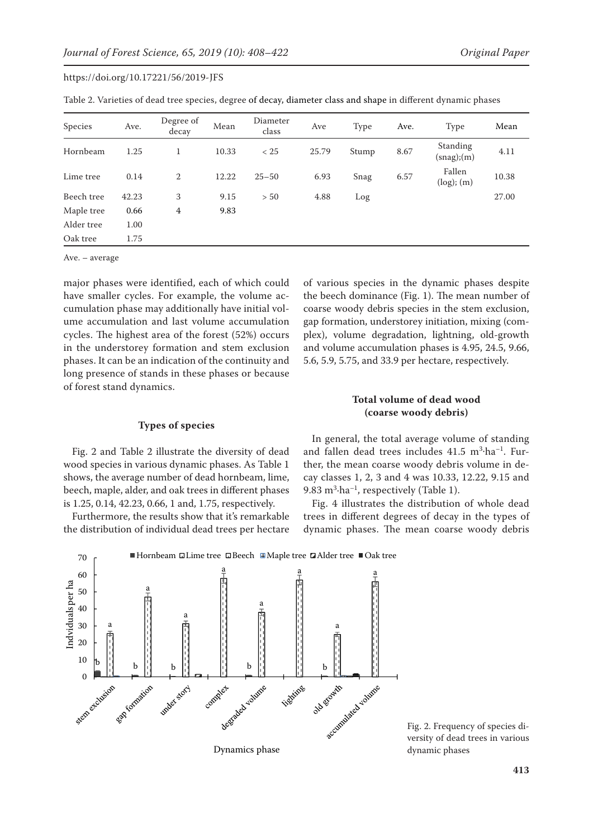| Table 2. Varieties of dead tree species, degree of decay, diameter class and shape in different dynamic phases |  |  |  |
|----------------------------------------------------------------------------------------------------------------|--|--|--|
|----------------------------------------------------------------------------------------------------------------|--|--|--|

| Species    | Ave.  | Degree of<br>decay | Mean  | Diameter<br>class | Ave   | Type  | Ave. | Type                   | Mean  |
|------------|-------|--------------------|-------|-------------------|-------|-------|------|------------------------|-------|
| Hornbeam   | 1.25  | 1                  | 10.33 | < 25              | 25.79 | Stump | 8.67 | Standing<br>(snag);(m) | 4.11  |
| Lime tree  | 0.14  | $\overline{2}$     | 12.22 | $25 - 50$         | 6.93  | Snag  | 6.57 | Fallen<br>(log); (m)   | 10.38 |
| Beech tree | 42.23 | 3                  | 9.15  | > 50              | 4.88  | Log   |      |                        | 27.00 |
| Maple tree | 0.66  | 4                  | 9.83  |                   |       |       |      |                        |       |
| Alder tree | 1.00  |                    |       |                   |       |       |      |                        |       |
| Oak tree   | 1.75  |                    |       |                   |       |       |      |                        |       |

Ave. – average

major phases were identified, each of which could have smaller cycles. For example, the volume accumulation phase may additionally have initial volume accumulation and last volume accumulation cycles. The highest area of the forest (52%) occurs in the understorey formation and stem exclusion phases. It can be an indication of the continuity and long presence of stands in these phases or because of forest stand dynamics.

of various species in the dynamic phases despite the beech dominance (Fig. 1). The mean number of coarse woody debris species in the stem exclusion, gap formation, understorey initiation, mixing (complex), volume degradation, lightning, old-growth and volume accumulation phases is 4.95, 24.5, 9.66, 5.6, 5.9, 5.75, and 33.9 per hectare, respectively.

#### **Types of species**

Fig. 2 and Table 2 illustrate the diversity of dead wood species in various dynamic phases. As Table 1 shows, the average number of dead hornbeam, lime, beech, maple, alder, and oak trees in different phases is 1.25, 0.14, 42.23, 0.66, 1 and, 1.75, respectively.

Furthermore, the results show that it's remarkable the distribution of individual dead trees per hectare

## **Total volume of dead wood (coarse woody debris)**

In general, the total average volume of standing and fallen dead trees includes 41.5 m<sup>3</sup>·ha<sup>-1</sup>. Further, the mean coarse woody debris volume in decay classes 1, 2, 3 and 4 was 10.33, 12.22, 9.15 and 9.83  $m^3$ -ha<sup>-1</sup>, respectively (Table 1).

Fig. 4 illustrates the distribution of whole dead trees in different degrees of decay in the types of dynamic phases. The mean coarse woody debris



Fig. 2. Frequency of species diversity of dead trees in various dynamic phases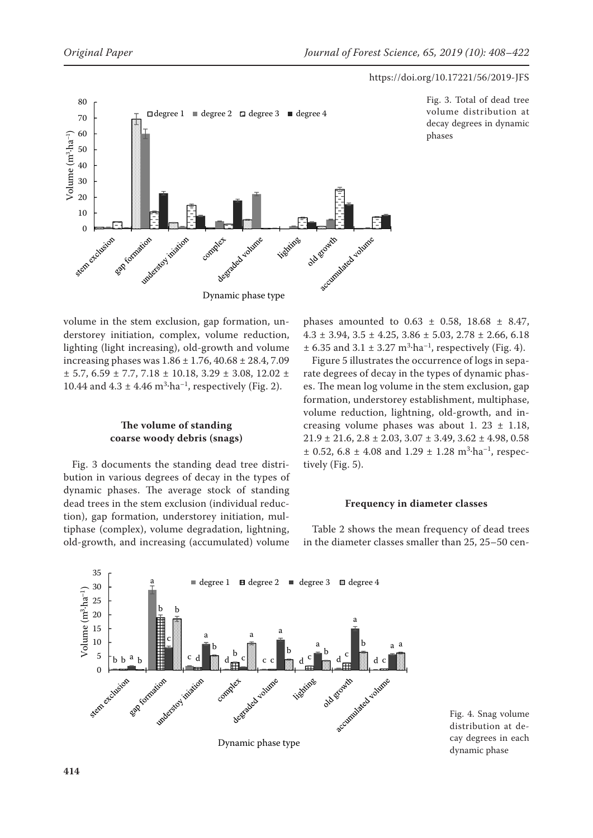

Fig. 3. Total of dead tree volume distribution at decay degrees in dynamic phases

volume in the stem exclusion, gap formation, understorey initiation, complex, volume reduction, lighting (light increasing), old-growth and volume increasing phases was  $1.86 \pm 1.76$ ,  $40.68 \pm 28.4$ ,  $7.09$  $\pm$  5.7, 6.59  $\pm$  7.7, 7.18  $\pm$  10.18, 3.29  $\pm$  3.08, 12.02  $\pm$ 10.44 and  $4.3 \pm 4.46 \text{ m}^3 \cdot \text{ha}^{-1}$ , respectively (Fig. 2). 6 Fig. 3. Total of dead trees volume distribution at decay degrees in dynamic phases.

## **The volume of standing coarse woody debris (snags)**

Fig. 3 documents the standing dead tree distribution in various degrees of decay in the types of dynamic phases. The average stock of standing dead trees in the stem exclusion (individual reduction), gap formation, understorey initiation, multiphase (complex), volume degradation, lightning, old-growth, and increasing (accumulated) volume phases amounted to  $0.63 \pm 0.58$ ,  $18.68 \pm 8.47$ ,  $4.3 \pm 3.94$ ,  $3.5 \pm 4.25$ ,  $3.86 \pm 5.03$ ,  $2.78 \pm 2.66$ , 6.18  $\pm$  6.35 and 3.1  $\pm$  3.27 m<sup>3</sup>·ha<sup>-1</sup>, respectively (Fig. 4).

Figure 5 illustrates the occurrence of logs in separate degrees of decay in the types of dynamic phases. The mean log volume in the stem exclusion, gap formation, understorey establishment, multiphase, volume reduction, lightning, old-growth, and increasing volume phases was about 1.  $23 \pm 1.18$ ,  $21.9 \pm 21.6$ ,  $2.8 \pm 2.03$ ,  $3.07 \pm 3.49$ ,  $3.62 \pm 4.98$ , 0.58  $\pm$  0.52, 6.8  $\pm$  4.08 and 1.29  $\pm$  1.28 m<sup>3</sup>·ha<sup>-1</sup>, respectively (Fig. 5).

#### **Frequency in diameter classes**

Table 2 shows the mean frequency of dead trees in the diameter classes smaller than 25, 25–50 cen-



Fig. 4. Snag volume distribution at decay degrees in each dynamic phase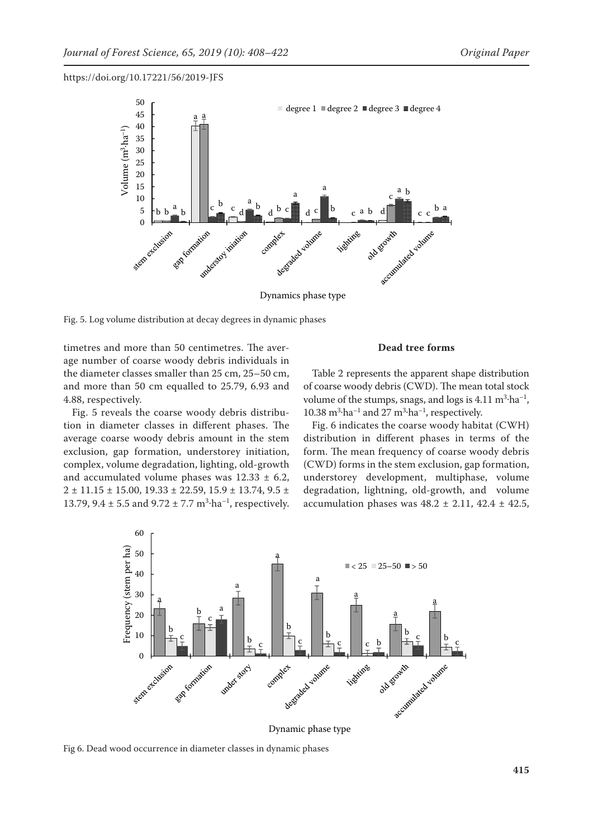

Dynamic phase type

Dynamics phase type

Fig. 5. Log volume distribution at decay degrees in dynamic phases

timetres and more than 50 centimetres. The average number of coarse woody debris individuals in the diameter classes smaller than 25 cm, 25–50 cm, and more than 50 cm equalled to 25.79, 6.93 and 4.88, respectively.

Fig. 5 reveals the coarse woody debris distribution in diameter classes in different phases. The average coarse woody debris amount in the stem exclusion, gap formation, understorey initiation, complex, volume degradation, lighting, old-growth and accumulated volume phases was  $12.33 \pm 6.2$ , 2 ± 11.15 ± 15.00, 19.33 ± 22.59, 15.9 ± 13.74, 9.5 ± 13.79,  $9.4 \pm 5.5$  and  $9.72 \pm 7.7$  m<sup>3</sup>·ha<sup>-1</sup>, respectively.

#### **Dead tree forms**

Table 2 represents the apparent shape distribution of coarse woody debris (CWD). The mean total stock volume of the stumps, snags, and logs is  $4.11 \text{ m}^3 \cdot \text{ha}^{-1}$ , 10.38  $\text{m}^3$ ·ha<sup>-1</sup> and 27  $\text{m}^3$ ·ha<sup>-1</sup>, respectively.

Fig. 6 indicates the coarse woody habitat (CWH) distribution in different phases in terms of the form. The mean frequency of coarse woody debris (CWD) forms in the stem exclusion, gap formation, understorey development, multiphase, volume degradation, lightning, old-growth, and volume accumulation phases was  $48.2 \pm 2.11$ ,  $42.4 \pm 42.5$ ,



Dynamic phase type

Fig 6. Dead wood occurrence in diameter classes in dynamic phases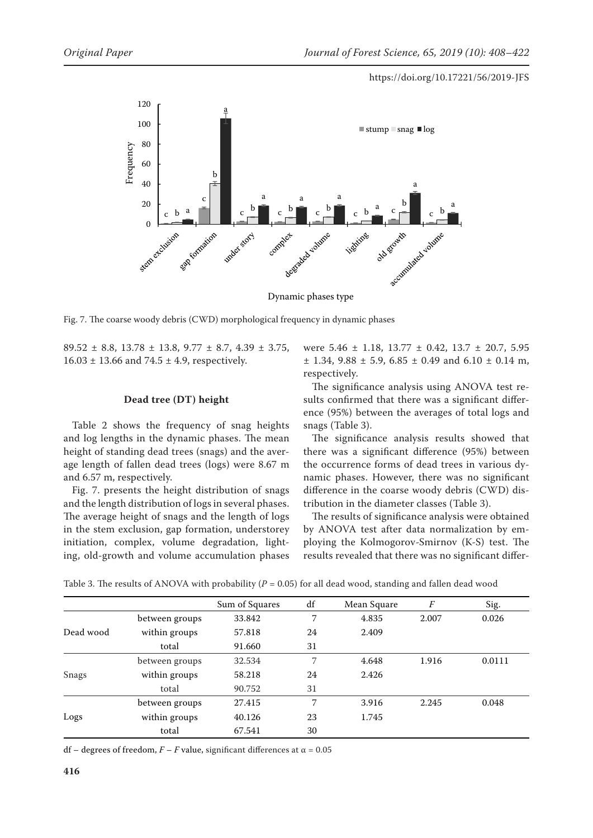

Dynamic phases type

Fig. 7. The coarse woody debris (CWD) morphological frequency in dynamic phases

 $89.52 \pm 8.8$ ,  $13.78 \pm 13.8$ ,  $9.77 \pm 8.7$ ,  $4.39 \pm 3.75$ ,  $16.03 \pm 13.66$  and  $74.5 \pm 4.9$ , respectively.

## **Dead tree (DT) height**

Table 2 shows the frequency of snag heights and log lengths in the dynamic phases. The mean height of standing dead trees (snags) and the average length of fallen dead trees (logs) were 8.67 m and 6.57 m, respectively.

Fig. 7. presents the height distribution of snags and the length distribution of logs in several phases. The average height of snags and the length of logs in the stem exclusion, gap formation, understorey initiation, complex, volume degradation, lighting, old-growth and volume accumulation phases

were  $5.46 \pm 1.18$ ,  $13.77 \pm 0.42$ ,  $13.7 \pm 20.7$ ,  $5.95$  $\pm$  1.34, 9.88  $\pm$  5.9, 6.85  $\pm$  0.49 and 6.10  $\pm$  0.14 m, respectively.

The significance analysis using ANOVA test results confirmed that there was a significant difference (95%) between the averages of total logs and snags (Table 3).

The significance analysis results showed that there was a significant difference (95%) between the occurrence forms of dead trees in various dynamic phases. However, there was no significant difference in the coarse woody debris (CWD) distribution in the diameter classes (Table 3).

The results of significance analysis were obtained by ANOVA test after data normalization by employing the Kolmogorov-Smirnov (K-S) test. The results revealed that there was no significant differ-

| Table 3. The results of ANOVA with probability ( $P = 0.05$ ) for all dead wood, standing and fallen dead wood |  |
|----------------------------------------------------------------------------------------------------------------|--|
|----------------------------------------------------------------------------------------------------------------|--|

|           |                | Sum of Squares | df | Mean Square | F     | Sig.   |
|-----------|----------------|----------------|----|-------------|-------|--------|
|           | between groups | 33.842         | 7  | 4.835       | 2.007 | 0.026  |
| Dead wood | within groups  | 57.818         | 24 | 2.409       |       |        |
|           | total          | 91.660         | 31 |             |       |        |
|           | between groups | 32.534         | 7  | 4.648       | 1.916 | 0.0111 |
| Snags     | within groups  | 58.218         | 24 | 2.426       |       |        |
|           | total          | 90.752         | 31 |             |       |        |
|           | between groups | 27.415         | 7  | 3.916       | 2.245 | 0.048  |
| Logs      | within groups  | 40.126         | 23 | 1.745       |       |        |
|           | total          | 67.541         | 30 |             |       |        |

df – degrees of freedom,  $F - F$  value, significant differences at  $\alpha = 0.05$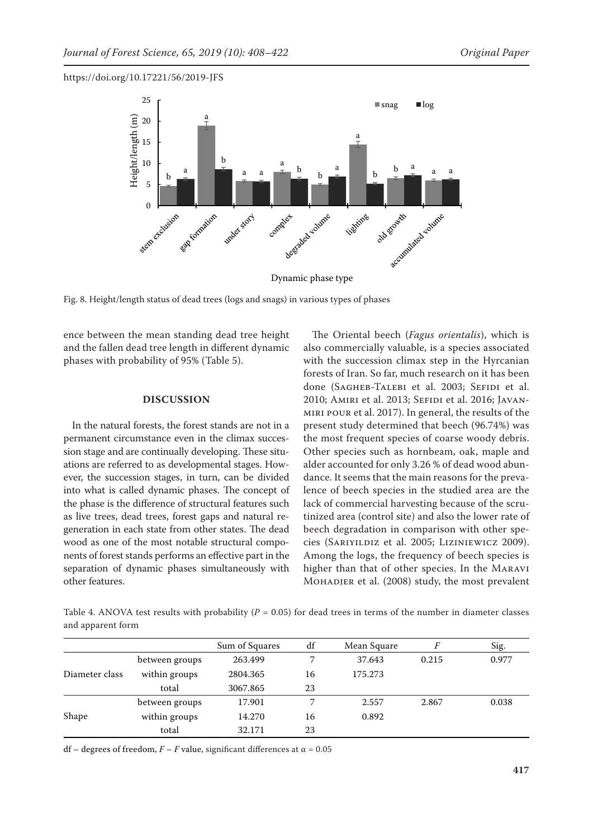

Fig. 8. Height/length status of dead trees (logs and snags) in various types of phases

ence between the mean standing dead tree height and the fallen dead tree length in different dynamic phases with probability of 95% (Table 5).

## **Discussion**

In the natural forests, the forest stands are not in a permanent circumstance even in the climax succession stage and are continually developing. These situations are referred to as developmental stages. However, the succession stages, in turn, can be divided into what is called dynamic phases. The concept of the phase is the difference of structural features such as live trees, dead trees, forest gaps and natural regeneration in each state from other states. The dead wood as one of the most notable structural components of forest stands performs an effective part in the separation of dynamic phases simultaneously with other features.

The Oriental beech (*Fagus orientalis*), which is also commercially valuable, is a species associated with the succession climax step in the Hyrcanian forests of Iran. So far, much research on it has been done (SAGHEB-TALEBI et al. 2003; SEFIDI et al. 2010; Amiri et al. 2013; Sefidi et al. 2016; Javanmiri pour et al. 2017). In general, the results of the present study determined that beech (96.74%) was the most frequent species of coarse woody debris. Other species such as hornbeam, oak, maple and alder accounted for only 3.26 % of dead wood abundance. It seems that the main reasons for the prevalence of beech species in the studied area are the lack of commercial harvesting because of the scrutinized area (control site) and also the lower rate of beech degradation in comparison with other species (Sariyildiz et al. 2005; Liziniewicz 2009). Among the logs, the frequency of beech species is higher than that of other species. In the MARAVI Mohadjer et al. (2008) study, the most prevalent

Table 4. ANOVA test results with probability  $(P = 0.05)$  for dead trees in terms of the number in diameter classes and apparent form

|                |                | Sum of Squares | df | Mean Square |       | Sig.  |
|----------------|----------------|----------------|----|-------------|-------|-------|
|                | between groups | 263.499        |    | 37.643      | 0.215 | 0.977 |
| Diameter class | within groups  | 2804.365       | 16 | 175.273     |       |       |
|                | total          | 3067.865       | 23 |             |       |       |
|                | between groups | 17.901         |    | 2.557       | 2.867 | 0.038 |
| Shape          | within groups  | 14.270         | 16 | 0.892       |       |       |
|                | total          | 32.171         | 23 |             |       |       |

df – degrees of freedom,  $F - F$  value, significant differences at  $\alpha = 0.05$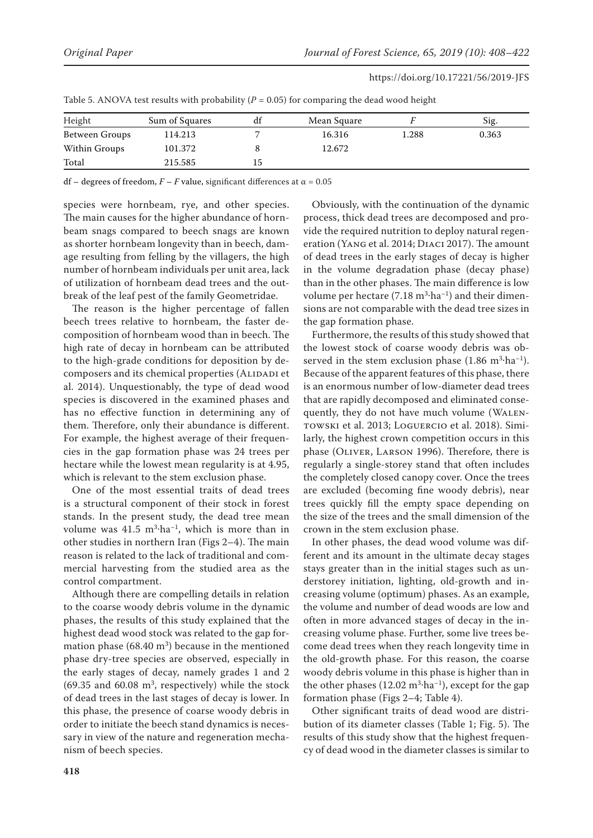| Height         | Sum of Squares | αt | Mean Square |       | Sig.  |
|----------------|----------------|----|-------------|-------|-------|
| Between Groups | 114.213        |    | 16.316      | 1.288 | 0.363 |
| Within Groups  | 101.372        |    | 12.672      |       |       |
| Total          | 215.585        | 15 |             |       |       |

Table 5. ANOVA test results with probability  $(P = 0.05)$  for comparing the dead wood height

df – degrees of freedom,  $F - F$  value, significant differences at  $\alpha = 0.05$ 

species were hornbeam, rye, and other species. The main causes for the higher abundance of hornbeam snags compared to beech snags are known as shorter hornbeam longevity than in beech, damage resulting from felling by the villagers, the high number of hornbeam individuals per unit area, lack of utilization of hornbeam dead trees and the outbreak of the leaf pest of the family Geometridae.

The reason is the higher percentage of fallen beech trees relative to hornbeam, the faster decomposition of hornbeam wood than in beech. The high rate of decay in hornbeam can be attributed to the high-grade conditions for deposition by decomposers and its chemical properties (ALIDADI et al. 2014). Unquestionably, the type of dead wood species is discovered in the examined phases and has no effective function in determining any of them. Therefore, only their abundance is different. For example, the highest average of their frequencies in the gap formation phase was 24 trees per hectare while the lowest mean regularity is at 4.95, which is relevant to the stem exclusion phase.

One of the most essential traits of dead trees is a structural component of their stock in forest stands. In the present study, the dead tree mean volume was  $41.5 \text{ m}^3 \cdot \text{ha}^{-1}$ , which is more than in other studies in northern Iran (Figs 2–4). The main reason is related to the lack of traditional and commercial harvesting from the studied area as the control compartment.

Although there are compelling details in relation to the coarse woody debris volume in the dynamic phases, the results of this study explained that the highest dead wood stock was related to the gap formation phase  $(68.40 \text{ m}^3)$  because in the mentioned phase dry-tree species are observed, especially in the early stages of decay, namely grades 1 and 2  $(69.35$  and  $60.08$  m<sup>3</sup>, respectively) while the stock of dead trees in the last stages of decay is lower. In this phase, the presence of coarse woody debris in order to initiate the beech stand dynamics is necessary in view of the nature and regeneration mechanism of beech species.

Obviously, with the continuation of the dynamic process, thick dead trees are decomposed and provide the required nutrition to deploy natural regeneration (Yang et al. 2014; Diaci 2017). The amount of dead trees in the early stages of decay is higher in the volume degradation phase (decay phase) than in the other phases. The main difference is low volume per hectare  $(7.18 \text{ m}^3 \cdot \text{ha}^{-1})$  and their dimensions are not comparable with the dead tree sizes in the gap formation phase.

Furthermore, the results of this study showed that the lowest stock of coarse woody debris was observed in the stem exclusion phase  $(1.86 \text{ m}^3 \cdot \text{ha}^{-1})$ . Because of the apparent features of this phase, there is an enormous number of low-diameter dead trees that are rapidly decomposed and eliminated consequently, they do not have much volume (Walentowski et al. 2013; Loguercio et al. 2018). Similarly, the highest crown competition occurs in this phase (Oliver, Larson 1996). Therefore, there is regularly a single-storey stand that often includes the completely closed canopy cover. Once the trees are excluded (becoming fine woody debris), near trees quickly fill the empty space depending on the size of the trees and the small dimension of the crown in the stem exclusion phase.

In other phases, the dead wood volume was different and its amount in the ultimate decay stages stays greater than in the initial stages such as understorey initiation, lighting, old-growth and increasing volume (optimum) phases. As an example, the volume and number of dead woods are low and often in more advanced stages of decay in the increasing volume phase. Further, some live trees become dead trees when they reach longevity time in the old-growth phase. For this reason, the coarse woody debris volume in this phase is higher than in the other phases  $(12.02 \text{ m}^3 \cdot \text{ha}^{-1})$ , except for the gap formation phase (Figs 2–4; Table 4).

Other significant traits of dead wood are distribution of its diameter classes (Table 1; Fig. 5). The results of this study show that the highest frequency of dead wood in the diameter classes is similar to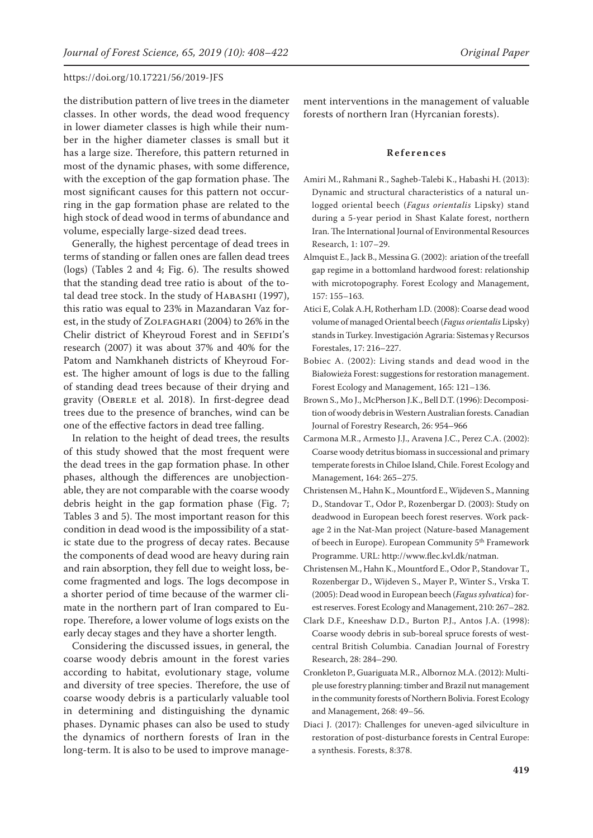the distribution pattern of live trees in the diameter classes. In other words, the dead wood frequency in lower diameter classes is high while their number in the higher diameter classes is small but it has a large size. Therefore, this pattern returned in most of the dynamic phases, with some difference, with the exception of the gap formation phase. The most significant causes for this pattern not occurring in the gap formation phase are related to the high stock of dead wood in terms of abundance and volume, especially large-sized dead trees.

Generally, the highest percentage of dead trees in terms of standing or fallen ones are fallen dead trees (logs) (Tables 2 and 4; Fig. 6). The results showed that the standing dead tree ratio is about of the total dead tree stock. In the study of Habashi (1997), this ratio was equal to 23% in Mazandaran Vaz forest, in the study of Zolfaghari (2004) to 26% in the Chelir district of Kheyroud Forest and in SEFIDI's research (2007) it was about 37% and 40% for the Patom and Namkhaneh districts of Kheyroud Forest. The higher amount of logs is due to the falling of standing dead trees because of their drying and gravity (OBERLE et al. 2018). In first-degree dead trees due to the presence of branches, wind can be one of the effective factors in dead tree falling.

In relation to the height of dead trees, the results of this study showed that the most frequent were the dead trees in the gap formation phase. In other phases, although the differences are unobjectionable, they are not comparable with the coarse woody debris height in the gap formation phase (Fig. 7; Tables 3 and 5). The most important reason for this condition in dead wood is the impossibility of a static state due to the progress of decay rates. Because the components of dead wood are heavy during rain and rain absorption, they fell due to weight loss, become fragmented and logs. The logs decompose in a shorter period of time because of the warmer climate in the northern part of Iran compared to Europe. Therefore, a lower volume of logs exists on the early decay stages and they have a shorter length.

Considering the discussed issues, in general, the coarse woody debris amount in the forest varies according to habitat, evolutionary stage, volume and diversity of tree species. Therefore, the use of coarse woody debris is a particularly valuable tool in determining and distinguishing the dynamic phases. Dynamic phases can also be used to study the dynamics of northern forests of Iran in the long-term. It is also to be used to improve management interventions in the management of valuable forests of northern Iran (Hyrcanian forests).

#### **Re f e r e n c e s**

- Amiri M., Rahmani R., Sagheb-Talebi K., Habashi H. (2013): Dynamic and structural characteristics of a natural unlogged oriental beech (*Fagus orientalis* Lipsky) stand during a 5-year period in Shast Kalate forest, northern Iran. The International Journal of Environmental Resources Research, 1: 107–29.
- Almquist E., Jack B., Messina G. (2002): ariation of the treefall gap regime in a bottomland hardwood forest: relationship with microtopography. Forest Ecology and Management, 157: 155–163.
- Atici E, Colak A.H, Rotherham I.D. (2008): Coarse dead wood volume of managed Oriental beech (*Fagus orientalis* Lipsky) stands in Turkey. Investigaciόn Agraria: Sistemas y Recursos Forestales, 17: 216–227.
- Bobiec A. (2002): Living stands and dead wood in the Białowieża Forest: suggestions for restoration management. Forest Ecology and Management, 165: 121–136.
- Brown S., Mo J., McPherson J.K., Bell D.T. (1996): Decomposition of woody debris in Western Australian forests. Canadian Journal of Forestry Research, 26: 954–966
- Carmona M.R., Armesto J.J., Aravena J.C., Perez C.A. (2002): Coarse woody detritus biomass in successional and primary temperate forests in Chiloe Island, Chile. Forest Ecology and Management, 164: 265–275.
- Christensen M., Hahn K., Mountford E., Wijdeven S., Manning D., Standovar T., Odor P., Rozenbergar D. (2003): Study on deadwood in European beech forest reserves. Work package 2 in the Nat-Man project (Nature-based Management of beech in Europe). European Community 5th Framework Programme. URL: http://www.flec.kvl.dk/natman.
- Christensen M., Hahn K., Mountford E., Odor P., Standovar T., Rozenbergar D., Wijdeven S., Mayer P., Winter S., Vrska T. (2005): Dead wood in European beech (*Fagus sylvatica*) forest reserves. Forest Ecology and Management, 210: 267–282.
- Clark D.F., Kneeshaw D.D., Burton P.J., Antos J.A. (1998): Coarse woody debris in sub-boreal spruce forests of westcentral British Columbia. Canadian Journal of Forestry Research, 28: 284–290.
- Cronkleton P., Guariguata M.R., Albornoz M.A. (2012): Multiple use forestry planning: timber and Brazil nut management in the community forests of Northern Bolivia. Forest Ecology and Management, 268: 49–56.
- Diaci J. (2017): Challenges for uneven-aged silviculture in restoration of post-disturbance forests in Central Europe: a synthesis. Forests, 8:378.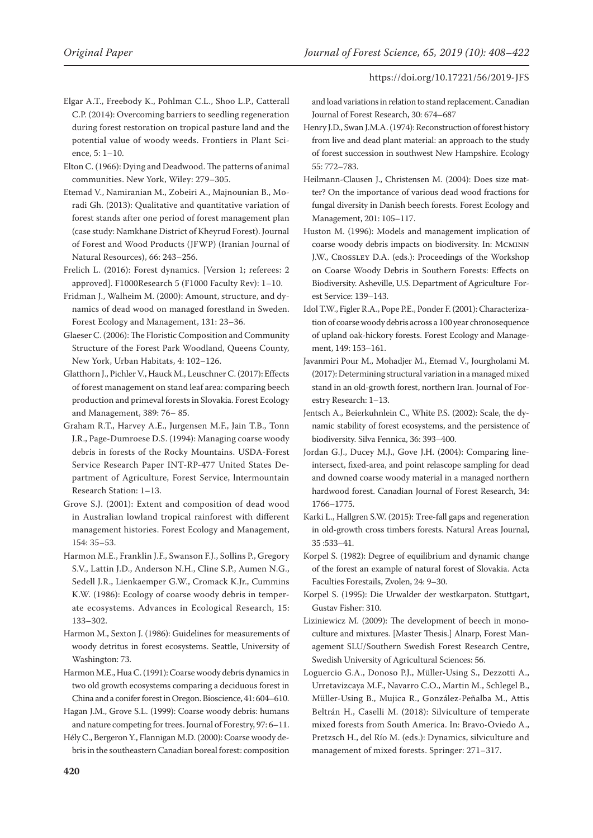- Elgar A.T., Freebody K., Pohlman C.L., Shoo L.P., Catterall C.P. (2014): Overcoming barriers to seedling regeneration during forest restoration on tropical pasture land and the potential value of woody weeds. Frontiers in Plant Science, 5: 1–10.
- Elton C. (1966): Dying and Deadwood. The patterns of animal communities. New York, Wiley: 279–305.
- Etemad V., Namiranian M., Zobeiri A., Majnounian B., Moradi Gh. (2013): Qualitative and quantitative variation of forest stands after one period of forest management plan (case study: Namkhane District of Kheyrud Forest). Journal of Forest and Wood Products (JFWP) (Iranian Journal of Natural Resources), 66: 243–256.
- Frelich L. (2016): Forest dynamics. [Version 1; referees: 2 approved]. F1000Research 5 (F1000 Faculty Rev): 1–10.
- Fridman J., Walheim M. (2000): Amount, structure, and dynamics of dead wood on managed forestland in Sweden. Forest Ecology and Management, 131: 23–36.
- Glaeser C. (2006): The Floristic Composition and Community Structure of the Forest Park Woodland, Queens County, New York, Urban Habitats, 4: 102–126.
- Glatthorn J., Pichler V., Hauck M., Leuschner C. (2017): Effects of forest management on stand leaf area: comparing beech production and primeval forests in Slovakia. Forest Ecology and Management, 389: 76– 85.
- Graham R.T., Harvey A.E., Jurgensen M.F., Jain T.B., Tonn J.R., Page-Dumroese D.S. (1994): Managing coarse woody debris in forests of the Rocky Mountains. USDA-Forest Service Research Paper INT-RP-477 United States Department of Agriculture, Forest Service, lntermountain Research Station: 1–13.
- Grove S.J. (2001): Extent and composition of dead wood in Australian lowland tropical rainforest with different management histories. Forest Ecology and Management, 154: 35–53.
- Harmon M.E., Franklin J.F., Swanson F.J., Sollins P., Gregory S.V., Lattin J.D., Anderson N.H., Cline S.P., Aumen N.G., Sedell J.R., Lienkaemper G.W., Cromack K.Jr., Cummins K.W. (1986): Ecology of coarse woody debris in temperate ecosystems. Advances in Ecological Research, 15: 133–302.
- Harmon M., Sexton J. (1986): Guidelines for measurements of woody detritus in forest ecosystems. Seattle, University of Washington: 73.
- Harmon M.E., Hua C. (1991): Coarse woody debris dynamics in two old growth ecosystems comparing a deciduous forest in China and a conifer forest in Oregon. Bioscience, 41: 604–610.
- Hagan J.M., Grove S.L. (1999): Coarse woody debris: humans and nature competing for trees. Journal of Forestry, 97: 6–11.

Hély C., Bergeron Y., Flannigan M.D. (2000): Coarse woody debris in the southeastern Canadian boreal forest: composition and load variations in relation to stand replacement. Canadian Journal of Forest Research, 30: 674–687

- Henry J.D., Swan J.M.A. (1974): Reconstruction of forest history from live and dead plant material: an approach to the study of forest succession in southwest New Hampshire. Ecology 55: 772–783.
- Heilmann-Clausen J., Christensen M. (2004): Does size matter? On the importance of various dead wood fractions for fungal diversity in Danish beech forests. Forest Ecology and Management, 201: 105–117.
- Huston M. (1996): Models and management implication of coarse woody debris impacts on biodiversity. In: Mcminn J.W., Crossley D.A. (eds.): Proceedings of the Workshop on Coarse Woody Debris in Southern Forests: Effects on Biodiversity. Asheville, U.S. Department of Agriculture Forest Service: 139–143.
- Idol T.W., Figler R.A., Pope P.E., Ponder F. (2001): Characterization of coarse woody debris across a 100 year chronosequence of upland oak-hickory forests. Forest Ecology and Management, 149: 153–161.
- Javanmiri Pour M., Mohadjer M., Etemad V., Jourgholami M. (2017): [Determining structural variation in a managed mixed](file:///W:/Redakto%c5%99i/JFS/JFS%202019/JFS%2010-2019/javascript:void(0)) [stand in an old-growth forest, northern Iran](file:///W:/Redakto%c5%99i/JFS/JFS%202019/JFS%2010-2019/javascript:void(0)). Journal of Forestry Research: 1–13.
- Jentsch A., Beierkuhnlein C., White P.S. (2002): Scale, the dynamic stability of forest ecosystems, and the persistence of biodiversity. Silva Fennica, 36: 393–400.
- Jordan G.J., Ducey M.J., Gove J.H. (2004): Comparing lineintersect, fixed-area, and point relascope sampling for dead and downed coarse woody material in a managed northern hardwood forest. Canadian Journal of Forest Research, 34: 1766–1775.
- Karki L., Hallgren S.W. (2015): Tree-fall gaps and regeneration in old-growth cross timbers forests. Natural Areas Journal, 35 :533–41.
- Korpel S. (1982): Degree of equilibrium and dynamic change of the forest an example of natural forest of Slovakia. Acta Faculties Forestails, Zvolen, 24: 9–30.
- Korpel S. (1995): Die Urwalder der westkarpaton. Stuttgart, Gustav Fisher: 310.
- Liziniewicz M. (2009): The development of beech in monoculture and mixtures. [Master Thesis.] Alnarp, Forest Management SLU/Southern Swedish Forest Research Centre, Swedish University of Agricultural Sciences: 56.
- Loguercio G.A., Donoso P.J., Müller-Using S., Dezzotti A., Urretavizcaya M.F., Navarro C.O., Martin M., Schlegel B., Müller-Using B., Mujica R., González-Peñalba M., Attis Beltrán H., Caselli M. (2018): Silviculture of temperate mixed forests from South America. In: Bravo-Oviedo A., Pretzsch H., del Río M. (eds.): Dynamics, silviculture and management of mixed forests. Springer: 271–317.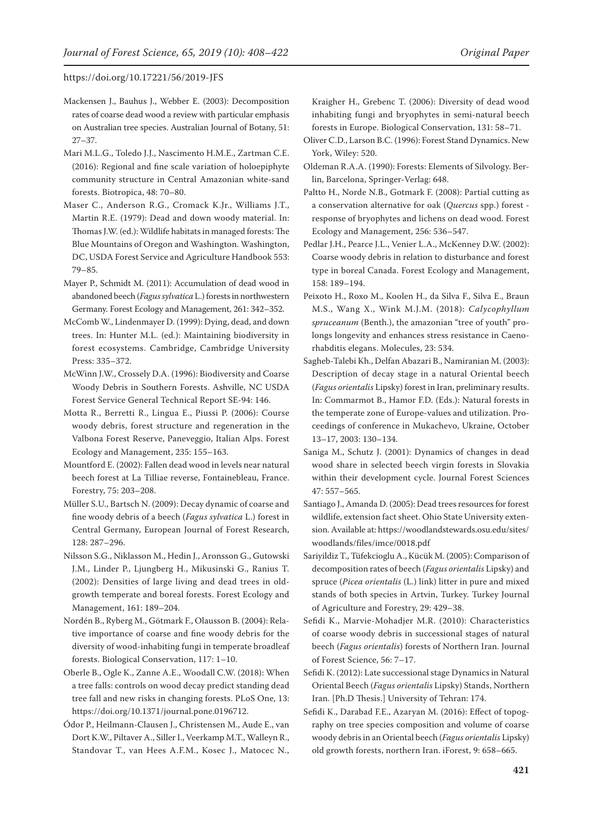- Mackensen J., Bauhus J., Webber E. (2003): Decomposition rates of coarse dead wood a review with particular emphasis on Australian tree species. Australian Journal of Botany, 51: 27–37.
- Mari M.L.G., Toledo J.J., Nascimento H.M.E., Zartman C.E. (2016): Regional and fine scale variation of holoepiphyte community structure in Central Amazonian white-sand forests. Biotropica, 48: 70–80.
- Maser C., Anderson R.G., Cromack K.Jr., Williams J.T., Martin R.E. (1979): Dead and down woody material. In: Thomas J.W. (ed.): Wildlife habitats in managed forests: The Blue Mountains of Oregon and Washington. Washington, DC, USDA Forest Service and Agriculture Handbook 553: 79–85.
- Mayer P., Schmidt M. (2011): Accumulation of dead wood in abandoned beech (*Fagus sylvatica* L.) forests in northwestern Germany. Forest Ecology and Management, 261: 342–352.
- McComb W., Lindenmayer D. (1999): Dying, dead, and down trees. In: Hunter M.L. (ed.): Maintaining biodiversity in forest ecosystems. Cambridge, Cambridge University Press: 335–372.
- McWinn J.W., Crossely D.A. (1996): Biodiversity and Coarse Woody Debris in Southern Forests. Ashville, NC USDA Forest Service General Technical Report SE-94: 146.
- Motta R., Berretti R., Lingua E., Piussi P. (2006): Course woody debris, forest structure and regeneration in the Valbona Forest Reserve, Paneveggio, Italian Alps. Forest Ecology and Management, 235: 155–163.
- Mountford E. (2002): Fallen dead wood in levels near natural beech forest at La Tilliae reverse, Fontainebleau, France. Forestry, 75: 203–208.
- Müller S.U., Bartsch N. (2009): Decay dynamic of coarse and fine woody debris of a beech (*Fagus sylvatica* L.) forest in Central Germany, European Journal of Forest Research, 128: 287–296.
- Nilsson S.G., Niklasson M., Hedin J., Aronsson G., Gutowski J.M., Linder P., Ljungberg H., Mikusinski G., Ranius T. (2002): Densities of large living and dead trees in oldgrowth temperate and boreal forests. Forest Ecology and Management, 161: 189–204.
- Nordén B., Ryberg M., Götmark F., Olausson B. (2004): Relative importance of coarse and fine woody debris for the diversity of wood-inhabiting fungi in temperate broadleaf forests. Biological Conservation, 117: 1–10.
- Oberle B., Ogle K., Zanne A.E., Woodall C.W. (2018): When a tree falls: controls on wood decay predict standing dead tree fall and new risks in changing forests. PLoS One, 13: https://doi.org/10.1371/journal.pone.0196712.
- Ódor P., Heilmann-Clausen J., Christensen M., Aude E., van Dort K.W., Piltaver A., Siller I., Veerkamp M.T., Walleyn R., Standovar T., van Hees A.F.M., Kosec J., Matocec N.,

Kraigher H., Grebenc T. (2006): Diversity of dead wood inhabiting fungi and bryophytes in semi-natural beech forests in Europe. Biological Conservation, 131: 58–71.

- Oliver C.D., Larson B.C. (1996): Forest Stand Dynamics. New York, Wiley: 520.
- Oldeman R.A.A. (1990): Forests: Elements of Silvology. Berlin, Barcelona, Springer-Verlag: 648.
- Paltto H., Norde N.B., Gotmark F. (2008): Partial cutting as a conservation alternative for oak (*Quercus* spp.) forest response of bryophytes and lichens on dead wood. Forest Ecology and Management, 256: 536–547.
- Pedlar J.H., Pearce J.L., Venier L.A., McKenney D.W. (2002): Coarse woody debris in relation to disturbance and forest type in boreal Canada. Forest Ecology and Management, 158: 189–194.
- Peixoto H., Roxo M., Koolen H., da Silva F., Silva E., Braun M.S., Wang X., Wink M.J.M. (2018): *Calycophyllum spruceanum* (Benth.), the amazonian "tree of youth" prolongs longevity and enhances stress resistance in Caenorhabditis elegans. Molecules, 23: 534.
- Sagheb-Talebi Kh., Delfan Abazari B., Namiranian M. (2003): Description of decay stage in a natural Oriental beech (*Fagus orientalis* Lipsky) forest in Iran, preliminary results. In: Commarmot B., Hamor F.D. (Eds.): Natural forests in the temperate zone of Europe-values and utilization. Proceedings of conference in Mukachevo, Ukraine, October 13–17, 2003: 130–134.
- Saniga M., Schutz J. (2001): Dynamics of changes in dead wood share in selected beech virgin forests in Slovakia within their development cycle. Journal Forest Sciences 47: 557–565.
- Santiago J., Amanda D. (2005): Dead trees resources for forest wildlife, extension fact sheet. Ohio State University extension. Available at: https://woodlandstewards.osu.edu/sites/ woodlands/files/imce/0018.pdf
- Sariyildiz T., Tüfekcioglu A., Kücük M. (2005): Comparison of decomposition rates of beech (*Fagus orientalis* Lipsky) and spruce (*Picea orientalis* (L.) link) litter in pure and mixed stands of both species in Artvin, Turkey. Turkey Journal of Agriculture and Forestry, 29: 429–38.
- Sefidi K., Marvie-Mohadjer M.R. (2010): Characteristics of coarse woody debris in successional stages of natural beech (*Fagus orientalis*) forests of Northern Iran. Journal of Forest Science, 56: 7–17.
- Sefidi K. (2012): Late successional stage Dynamics in Natural Oriental Beech (*Fagus orientalis* Lipsky) Stands, Northern Iran. [Ph.D Thesis.] University of Tehran: 174.
- Sefidi K., Darabad F.E., Azaryan M. (2016): Effect of topography on tree species composition and volume of coarse woody debris in an Oriental beech (*Fagus orientalis* Lipsky) old growth forests, northern Iran. iForest, 9: 658–665.